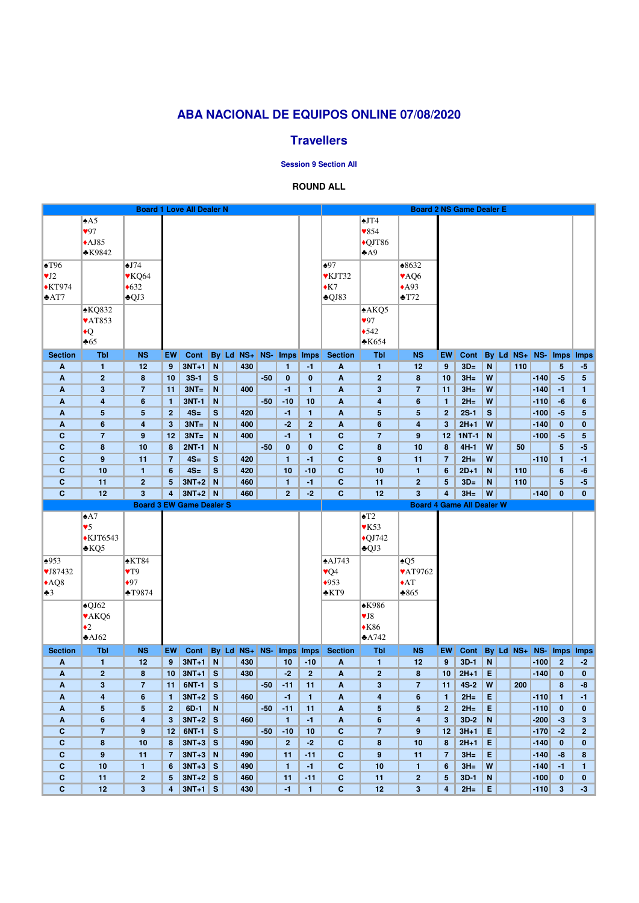|                             | <b>Board 1 Love All Dealer N</b> |                           |                  |                                 |               |  |            |       |                         |                  |                            |                          | <b>Board 2 NS Game Dealer E</b>  |                 |                |             |              |               |                  |                      |                                |  |  |
|-----------------------------|----------------------------------|---------------------------|------------------|---------------------------------|---------------|--|------------|-------|-------------------------|------------------|----------------------------|--------------------------|----------------------------------|-----------------|----------------|-------------|--------------|---------------|------------------|----------------------|--------------------------------|--|--|
|                             | $\triangle$ A5                   |                           |                  |                                 |               |  |            |       |                         |                  |                            | $\triangle$ JT4          |                                  |                 |                |             |              |               |                  |                      |                                |  |  |
|                             | 97                               |                           |                  |                                 |               |  |            |       |                         |                  |                            | $\sqrt{854}$             |                                  |                 |                |             |              |               |                  |                      |                                |  |  |
|                             | $\triangle$ AJ85                 |                           |                  |                                 |               |  |            |       |                         |                  |                            | $\bigcirc$ QJT86         |                                  |                 |                |             |              |               |                  |                      |                                |  |  |
|                             | $*K9842$                         |                           |                  |                                 |               |  |            |       |                         |                  |                            | A9                       |                                  |                 |                |             |              |               |                  |                      |                                |  |  |
| $\blacktriangle$ T96        |                                  | $\triangle$ J74           |                  |                                 |               |  |            |       |                         |                  | $\triangle 97$             |                          | $*8632$                          |                 |                |             |              |               |                  |                      |                                |  |  |
| $\Psi J2$                   |                                  |                           |                  |                                 |               |  |            |       |                         |                  | <b>VKJT32</b>              |                          |                                  |                 |                |             |              |               |                  |                      |                                |  |  |
|                             |                                  | $\blacktriangledown$ KQ64 |                  |                                 |               |  |            |       |                         |                  |                            |                          | VAQ6                             |                 |                |             |              |               |                  |                      |                                |  |  |
| $\blacklozenge$ KT974       |                                  | $\triangleleft 632$       |                  |                                 |               |  |            |       |                         |                  | $\triangle K7$             |                          | $*$ A93                          |                 |                |             |              |               |                  |                      |                                |  |  |
| $*AT7$                      |                                  | $\triangle$ QJ3           |                  |                                 |               |  |            |       |                         |                  | $\triangle$ QJ83           |                          | $\blacktriangleright$ T72        |                 |                |             |              |               |                  |                      |                                |  |  |
|                             | $\triangle KQ832$                |                           |                  |                                 |               |  |            |       |                         |                  |                            | A KQ5                    |                                  |                 |                |             |              |               |                  |                      |                                |  |  |
|                             | $\sqrt{AT853}$                   |                           |                  |                                 |               |  |            |       |                         |                  |                            | 97                       |                                  |                 |                |             |              |               |                  |                      |                                |  |  |
|                             | $\blacklozenge$                  |                           |                  |                                 |               |  |            |       |                         |                  |                            | •542                     |                                  |                 |                |             |              |               |                  |                      |                                |  |  |
|                             | $\triangle 65$                   |                           |                  |                                 |               |  |            |       |                         |                  |                            | $\clubsuit$ K654         |                                  |                 |                |             |              |               |                  |                      |                                |  |  |
| <b>Section</b>              | <b>Tbl</b>                       | <b>NS</b>                 | <b>EW</b>        | Cont                            |               |  | By Ld NS+  | $NS-$ | <b>Imps</b>             | <b>Imps</b>      | <b>Section</b>             | <b>Tbl</b>               | <b>NS</b>                        | EW              | Cont           |             | <b>By</b> Ld |               | $NS+$ NS-        |                      | Imps Imps                      |  |  |
| A                           | $\mathbf{1}$                     | 12                        | 9                | $3NT+1$                         | $\parallel$ N |  | 430        |       | $\mathbf{1}$            | $-1$             | $\boldsymbol{\mathsf{A}}$  | $\mathbf{1}$             | 12                               | 9               | $3D=$          | $\mathbf N$ |              | 110           |                  | 5 <sup>5</sup>       | -5                             |  |  |
| $\boldsymbol{A}$            | $\overline{2}$                   | 8                         | 10               | $3S-1$                          | S             |  |            | $-50$ | $\bf{0}$                | $\bf{0}$         | $\boldsymbol{\mathsf{A}}$  | $\overline{2}$           | 8                                | 10              | $3H =$         | W           |              |               | $-140$           | $-5$                 | $5\phantom{.0}$                |  |  |
| A                           | $\mathbf{3}$                     | $\overline{7}$            | 11               | $3NT =$                         | N             |  | 400        |       | $-1$                    | $\mathbf{1}$     | $\boldsymbol{A}$           | 3                        | $\overline{7}$                   | 11              | $3H =$         | W           |              |               | $-140$           | $-1$                 | 1                              |  |  |
| A                           | 4                                | $6\phantom{1}$            | $\mathbf{1}$     | <b>3NT-1</b>                    | N             |  |            | $-50$ | $-10$                   | 10               | $\boldsymbol{\mathsf{A}}$  | 4                        | 6                                | $\mathbf{1}$    | $2H=$          | W           |              |               | $-110$           | $-6$                 | 6                              |  |  |
| $\boldsymbol{A}$            | $5\phantom{.0}$                  | 5                         | $\boldsymbol{2}$ | $4S=$                           | ${\bf S}$     |  | 420        |       | $-1$                    | $\mathbf{1}$     | $\boldsymbol{A}$           | 5                        | 5                                | $\overline{2}$  | $2S-1$         | S           |              |               | $-100$           | $-5$                 | $5\phantom{.0}$                |  |  |
| A                           | $6\phantom{1}$                   | $\overline{\mathbf{4}}$   | 3                | $3NT =$                         | N             |  | 400        |       | $-2$                    | $\overline{2}$   | $\boldsymbol{\mathsf{A}}$  | $6\phantom{1}$           | 4                                | 3               | $2H+1$         | W           |              |               | $-140$           | $\mathbf{0}$         | $\bf{0}$                       |  |  |
| $\mathbf c$                 | $\overline{7}$                   | 9                         | 12               | $3NT =$                         | N             |  | 400        |       | $-1$                    | $\mathbf{1}$     | $\mathbf C$                | $\overline{7}$           | 9                                | 12              | $1NT-1$        | N           |              |               | $-100$           | $-5$                 | 5                              |  |  |
| $\mathbf C$                 | ${\bf 8}$                        | 10                        | 8                | <b>2NT-1</b>                    | N             |  |            | $-50$ | $\mathbf{0}$            | $\boldsymbol{0}$ | $\mathbf C$                | 8                        | 10                               | 8               | $4H-1$         | W           |              | 50            |                  | 5 <sup>5</sup>       | $-5$                           |  |  |
| $\mathbf C$                 | $\boldsymbol{9}$                 | 11                        | $\overline{7}$   | $4S=$                           | ${\bf S}$     |  | 420        |       | $\mathbf{1}$            | $-1$             | $\mathbf C$                | 9                        | 11                               | $\overline{7}$  | $2H =$         | W           |              |               | $-110$           | $\mathbf{1}$         | $-1$                           |  |  |
| $\mathbf C$                 | 10                               | $\mathbf{1}$              | $6\phantom{1}$   | $4S=$                           | $\mathbf{s}$  |  | 420        |       | 10                      | $-10$            | $\mathbf c$                | 10                       | $\mathbf{1}$                     | $6\phantom{1}$  | $2D+1$         | $\mathbf N$ |              | 110           |                  | $6\phantom{1}$       | -6                             |  |  |
| $\mathbf{C}$                | 11                               | $\overline{2}$            | 5                | $3NT+2$                         | N             |  | 460        |       | $\mathbf{1}$            | $-1$             | $\mathbf C$                | 11                       | $\overline{2}$                   | $5\phantom{.0}$ | $3D=$          | $\mathbf N$ |              | 110           |                  | 5                    | $-5$                           |  |  |
| $\mathbf{C}$                | 12                               | 3                         | 4                | $3NT+2$ N                       |               |  | 460        |       | 2 <sup>2</sup>          | $-2$             | $\mathbf{C}$               | 12                       | $3\phantom{a}$                   | 4               | $3H =$         | W           |              |               | $-140$           | $\mathbf{0}$         | $\mathbf{0}$                   |  |  |
|                             |                                  |                           |                  |                                 |               |  |            |       |                         |                  |                            |                          |                                  |                 |                |             |              |               |                  |                      |                                |  |  |
|                             |                                  |                           |                  | <b>Board 3 EW Game Dealer S</b> |               |  |            |       |                         |                  |                            |                          | <b>Board 4 Game All Dealer W</b> |                 |                |             |              |               |                  |                      |                                |  |  |
|                             | $\triangle A7$                   |                           |                  |                                 |               |  |            |       |                         |                  |                            | $\triangle T2$           |                                  |                 |                |             |              |               |                  |                      |                                |  |  |
|                             | $\sqrt{5}$                       |                           |                  |                                 |               |  |            |       |                         |                  |                            | $\blacktriangledown$ K53 |                                  |                 |                |             |              |               |                  |                      |                                |  |  |
|                             | $\blacktriangle$ KJT6543         |                           |                  |                                 |               |  |            |       |                         |                  |                            | $\bigcirc$ J742          |                                  |                 |                |             |              |               |                  |                      |                                |  |  |
|                             | $\triangle KQ5$                  |                           |                  |                                 |               |  |            |       |                         |                  |                            | $\triangle$ QJ3          |                                  |                 |                |             |              |               |                  |                      |                                |  |  |
|                             |                                  |                           |                  |                                 |               |  |            |       |                         |                  |                            |                          |                                  |                 |                |             |              |               |                  |                      |                                |  |  |
| $\triangle 953$             |                                  | $*KT84$                   |                  |                                 |               |  |            |       |                         |                  | $\triangle$ AJ743          |                          | $\triangle Q5$                   |                 |                |             |              |               |                  |                      |                                |  |  |
| $\blacktriangledown$ J87432 |                                  | $\blacktriangledown$      |                  |                                 |               |  |            |       |                         |                  | $\sqrt{\mathsf{Q}}4$       |                          | <b>VAT9762</b>                   |                 |                |             |              |               |                  |                      |                                |  |  |
| AQ8                         |                                  | $\bullet$ 97              |                  |                                 |               |  |            |       |                         |                  | $\bigstar 953$             |                          | $\triangle$ AT                   |                 |                |             |              |               |                  |                      |                                |  |  |
| $\clubsuit 3$               |                                  | $\triangle$ T9874         |                  |                                 |               |  |            |       |                         |                  | $\triangle$ KT9            |                          | $*865$                           |                 |                |             |              |               |                  |                      |                                |  |  |
|                             | $\triangle$ QJ62                 |                           |                  |                                 |               |  |            |       |                         |                  |                            | <b>*K986</b>             |                                  |                 |                |             |              |               |                  |                      |                                |  |  |
|                             | <b>VAKQ6</b>                     |                           |                  |                                 |               |  |            |       |                         |                  |                            | V <sub>18</sub>          |                                  |                 |                |             |              |               |                  |                      |                                |  |  |
|                             | $\bullet$ 2                      |                           |                  |                                 |               |  |            |       |                         |                  |                            | $*K86$                   |                                  |                 |                |             |              |               |                  |                      |                                |  |  |
|                             | $\triangle$ AJ62                 |                           |                  |                                 |               |  |            |       |                         |                  |                            | $\triangle$ A742         |                                  |                 |                |             |              |               |                  |                      |                                |  |  |
| <b>Section</b>              | <b>Tbl</b>                       | <b>NS</b>                 | <b>EW</b>        | Cont                            |               |  | By Ld NS+  | NS-   | <b>Imps</b>             | Imps             | <b>Section</b>             | <b>Tbl</b>               | <b>NS</b>                        | EW              | Cont           |             |              | $By$ Ld $NS+$ | NS-              | <b>Imps</b>          | <b>Imps</b>                    |  |  |
| A                           | $\mathbf{1}$                     | 12                        | 9                | $3NT+1$ N                       |               |  | 430        |       | 10                      | $-10$            | $\boldsymbol{A}$           | $\mathbf{1}$             | 12                               | 9               | $3D-1$         | $\mathbf N$ |              |               | $-100$           | 2 <sup>2</sup>       | $-2$                           |  |  |
| A                           | $\overline{2}$                   | 8                         | 10               | $3NT+1$                         | $\mathbf{s}$  |  | 430        |       | $-2$                    | $\overline{2}$   | $\boldsymbol{A}$           | $\overline{2}$           | 8                                | 10              | $2H+1$         | E           |              |               | $-140$           | $\mathbf{0}$         | $\mathbf{0}$                   |  |  |
| A                           | $\mathbf{3}$                     | $\overline{7}$            | 11               | 6NT-1                           | S             |  |            | $-50$ | $-11$                   | 11               | $\boldsymbol{A}$           | 3                        | $\overline{7}$                   | 11              | $4S-2$         | W           |              | 200           |                  | 8                    | -8                             |  |  |
| A                           | 4                                | $6\phantom{1}$            | $\mathbf{1}$     | $3NT+2$ S                       |               |  | 460        |       | $-1$                    | $\mathbf{1}$     | $\boldsymbol{\mathsf{A}}$  | 4                        | 6                                | $\mathbf{1}$    | $2H=$          | Е           |              |               | $-110$           | 1.                   | $-1$                           |  |  |
| A                           | $5\phantom{.0}$                  | 5                         | $\mathbf{2}$     | $6D-1$                          | N             |  |            | $-50$ | $-11$                   | 11               | $\boldsymbol{A}$           | 5                        | 5                                | $\overline{2}$  | $2H=$          | E           |              |               | $-110$           | $\mathbf 0$          | $\bf{0}$                       |  |  |
| A                           | $6\phantom{1}$                   | $\overline{\mathbf{4}}$   | 3                | $3NT+2$ S                       |               |  | 460        |       | $\mathbf{1}$            | $-1$             | A                          | $6\phantom{1}$           | 4                                | 3               | $3D-2$         | ${\sf N}$   |              |               | $-200$           | $-3$                 | $\mathbf{3}$                   |  |  |
| $\mathbf c$<br>$\mathbf C$  | $\overline{7}$                   | 9                         | 12<br>8          | $6NT-1$                         | $\mathbf{s}$  |  | 490        | $-50$ | $-10$<br>$\overline{2}$ | 10<br>$-2$       | $\mathbf C$                | $\overline{7}$<br>8      | 9                                | 12<br>8         | $3H+1$         | E           |              |               | $-170$           | $-2$<br>$\mathbf{0}$ | $\overline{2}$<br>$\mathbf{0}$ |  |  |
|                             | 8                                | 10                        | 7                | $3NT+3$ S                       |               |  |            |       |                         | $-11$            | $\mathbf{C}$               | 9                        | 10                               | $\overline{7}$  | $2H+1$         | E           |              |               | $-140$           | $-8$                 |                                |  |  |
| $\mathbf C$<br>$\mathbf C$  | 9<br>10                          | 11<br>$\mathbf{1}$        | 6                | $3NT+3$ N<br>$3NT+3$ S          |               |  | 490<br>490 |       | 11<br>$\mathbf{1}$      | $-1$             | $\mathbf C$<br>$\mathbf c$ | 10                       | 11<br>$\mathbf{1}$               | 6               | $3H=$<br>$3H=$ | E<br>W      |              |               | $-140$<br>$-140$ | $-1$                 | $\bf{8}$<br>1                  |  |  |
| $\mathbf{C}$                | 11                               | $\overline{2}$            | 5                | $3NT+2$ S                       |               |  | 460        |       | 11                      | $-11$            | $\mathbf{C}$               | 11                       | $\mathbf{2}$                     | $5\phantom{.0}$ | $3D-1$         | $\mathbf N$ |              |               | $-100$           | $\mathbf{0}$         | $\bf{0}$                       |  |  |

# **ABA NACIONAL DE EQUIPOS ONLINE 07/08/2020**

## **Travellers**

**Session 9 Section All**

### **ROUND ALL**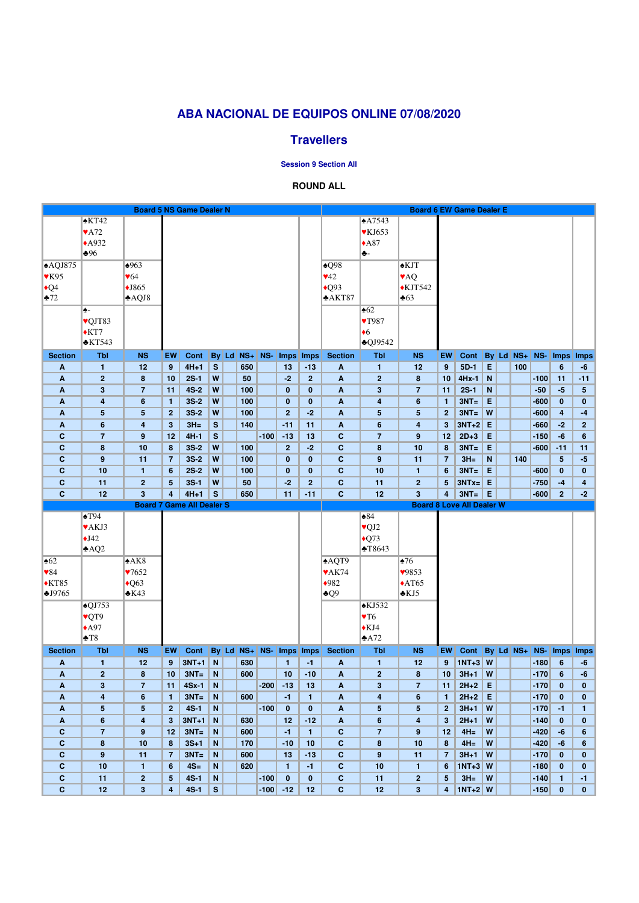## **ABA NACIONAL DE EQUIPOS ONLINE 07/08/2020**

### **Travellers**

#### **Session 9 Section All**

#### **ROUND ALL**

|                                  | <b>Board 5 NS Game Dealer N</b>  |                          |                   |                    |        |  |               |        |                   |                       |                              |                                  | <b>Board 6 EW Game Dealer E</b> |                   |                                  |             |              |     |                  |                                |                 |  |  |
|----------------------------------|----------------------------------|--------------------------|-------------------|--------------------|--------|--|---------------|--------|-------------------|-----------------------|------------------------------|----------------------------------|---------------------------------|-------------------|----------------------------------|-------------|--------------|-----|------------------|--------------------------------|-----------------|--|--|
|                                  | $\triangle$ KT42                 |                          |                   |                    |        |  |               |        |                   |                       |                              | $\triangle$ A7543                |                                 |                   |                                  |             |              |     |                  |                                |                 |  |  |
|                                  | $\blacktriangledown$ A72         |                          |                   |                    |        |  |               |        |                   |                       |                              | $\blacktriangledown$ KJ653       |                                 |                   |                                  |             |              |     |                  |                                |                 |  |  |
|                                  | $\triangle$ A932                 |                          |                   |                    |        |  |               |        |                   |                       |                              | $*A87$                           |                                 |                   |                                  |             |              |     |                  |                                |                 |  |  |
|                                  | $*96$                            |                          |                   |                    |        |  |               |        |                   |                       |                              | ♣-                               |                                 |                   |                                  |             |              |     |                  |                                |                 |  |  |
| AQJ875                           |                                  | $\triangle 963$          |                   |                    |        |  |               |        |                   |                       | $\triangle Q98$              |                                  | <b>AKJT</b>                     |                   |                                  |             |              |     |                  |                                |                 |  |  |
|                                  |                                  |                          |                   |                    |        |  |               |        |                   |                       |                              |                                  |                                 |                   |                                  |             |              |     |                  |                                |                 |  |  |
| $\blacktriangledown$ K95         |                                  | $\blacktriangledown 64$  |                   |                    |        |  |               |        |                   |                       | $\blacktriangledown$ 42      |                                  | <b>VAQ</b>                      |                   |                                  |             |              |     |                  |                                |                 |  |  |
| $\triangleleft Q4$               |                                  | $\blacklozenge$ J865     |                   |                    |        |  |               |        |                   |                       | $\triangle$ Q93              |                                  | $\triangle$ KJT542              |                   |                                  |             |              |     |                  |                                |                 |  |  |
| $*72$                            |                                  | $\triangle$ AQJ8         |                   |                    |        |  |               |        |                   |                       | $*AKT87$                     |                                  | $\clubsuit 63$                  |                   |                                  |             |              |     |                  |                                |                 |  |  |
|                                  | ♠-                               |                          |                   |                    |        |  |               |        |                   |                       |                              | $\triangle 62$                   |                                 |                   |                                  |             |              |     |                  |                                |                 |  |  |
|                                  | vQJT83                           |                          |                   |                    |        |  |               |        |                   |                       |                              | YT987                            |                                 |                   |                                  |             |              |     |                  |                                |                 |  |  |
|                                  | $\triangle$ KT7                  |                          |                   |                    |        |  |               |        |                   |                       |                              | $\bullet$ <sup>6</sup>           |                                 |                   |                                  |             |              |     |                  |                                |                 |  |  |
|                                  | $\triangle$ KT543                |                          |                   |                    |        |  |               |        |                   |                       |                              | $\triangle$ QJ9542               |                                 |                   |                                  |             |              |     |                  |                                |                 |  |  |
| <b>Section</b>                   | <b>Tbl</b>                       | <b>NS</b>                | EW                | Cont               |        |  | By Ld NS+ NS- |        | <b>Imps</b>       | <b>Imps</b>           | <b>Section</b>               | <b>Tbl</b>                       | <b>NS</b>                       | EW                | Cont                             |             | <b>By</b> Ld |     | $NS+$ NS-        |                                | Imps Imps       |  |  |
| A                                | $\mathbf{1}$                     | 12                       | 9                 | $4H+1$             | S      |  | 650           |        | 13                | $-13$                 | $\mathbf{A}$                 | $\mathbf{1}$                     | 12                              | 9                 | $5D-1$                           | E           |              | 100 |                  | $6\phantom{1}$                 | -6              |  |  |
| A                                | $\overline{2}$                   | 8                        | 10                | $2S-1$             | W      |  | 50            |        | $-2$              | $\overline{2}$        | A                            | $\overline{2}$                   | 8                               | 10                | $4Hx-1$                          | $\mathbf N$ |              |     | $-100$           | 11                             | $-11$           |  |  |
| A                                | $\mathbf{3}$                     | $\overline{7}$           | 11                | $4S-2$             | W      |  | 100           |        | $\bf{0}$          | $\bf{0}$              | $\boldsymbol{A}$             | 3                                | $\overline{7}$                  | 11                | $2S-1$                           | N           |              |     | $-50$            | $-5$                           | $5\phantom{.0}$ |  |  |
| A                                | 4                                | 6                        | $\mathbf{1}$      | $3S-2$             | W      |  | 100           |        | $\mathbf{0}$      | $\mathbf{0}$          | A                            | 4                                | 6                               | $\mathbf{1}$      | $3NT =$                          | E           |              |     | $-600$           | $\mathbf 0$                    | $\bf{0}$        |  |  |
| A                                | $5\phantom{.0}$                  | 5                        | $\mathbf{2}$      | $3S-2$             | W      |  | 100           |        | $\overline{2}$    | $-2$                  | $\boldsymbol{A}$             | 5                                | 5                               | $\mathbf{2}$      | $3NT =$                          | W           |              |     | $-600$           | 4                              | $-4$            |  |  |
| A                                | $6\phantom{1}$                   | 4                        | 3                 | $3H =$             | S      |  | 140           |        | $-11$             | 11                    | $\boldsymbol{A}$             | $6\phantom{1}$                   | 4                               | 3                 | $3NT+2$ E                        |             |              |     | $-660$           | $-2$                           | $\overline{2}$  |  |  |
| $\mathbf C$                      | $\overline{7}$                   | 9                        | 12                | $4H-1$             | S      |  |               | $-100$ | $-13$             | 13                    | $\mathbf C$                  | $\overline{7}$                   | 9                               | 12                | $2D+3$                           | E           |              |     | $-150$           | $-6$                           | 6               |  |  |
| $\mathbf c$                      | 8                                | 10                       | 8                 | $3S-2$             | W      |  | 100           |        | $\overline{2}$    | $-2$                  | $\mathbf{C}$                 | 8                                | 10                              | 8                 | $3NT =$                          | E           |              |     | $-600$           | $-11$                          | 11              |  |  |
| $\mathbf C$                      | $\boldsymbol{9}$                 | 11                       | $\overline{7}$    | $3S-2$             | W      |  | 100           |        | $\bf{0}$          | $\mathbf{0}$          | $\mathbf{C}$                 | $\boldsymbol{9}$                 | 11                              | $\overline{7}$    | $3H =$                           | $\mathbf N$ |              | 140 |                  | 5                              | $-5$            |  |  |
| $\mathbf c$                      | 10                               | $\mathbf{1}$             | $6\phantom{1}6$   | $2S-2$             | W      |  | 100           |        | $\bf{0}$          | $\bf{0}$              | $\mathbf c$                  | 10                               | $\mathbf{1}$                    | $6\phantom{1}$    | $3NT =$                          | E           |              |     | $-600$           | $\mathbf{0}$                   | $\mathbf{0}$    |  |  |
| $\mathbf{C}$                     | 11                               | $\mathbf{2}$             | 5                 | $3S-1$             | W      |  | 50            |        | $-2$              | $\overline{2}$        | $\mathbf{C}$                 | 11                               | $\mathbf{2}$                    | 5                 | $3NTx = E$                       |             |              |     | $-750$           | $-4$                           | 4               |  |  |
| $\mathbf{C}$                     | 12                               | $\overline{\mathbf{3}}$  | 4                 | $4H+1$             | S      |  | 650           |        | 11                | $-11$                 | $\mathbf c$                  | 12                               | $3\phantom{a}$                  | 4                 | $3NT =$                          | E           |              |     | $-600$           | $\overline{2}$                 | $-2$            |  |  |
| <b>Board 7 Game All Dealer S</b> |                                  |                          |                   |                    |        |  |               |        |                   |                       |                              |                                  |                                 |                   |                                  |             |              |     |                  |                                |                 |  |  |
|                                  |                                  |                          |                   |                    |        |  |               |        |                   |                       |                              |                                  |                                 |                   | <b>Board 8 Love All Dealer W</b> |             |              |     |                  |                                |                 |  |  |
|                                  | $\triangle$ T94                  |                          |                   |                    |        |  |               |        |                   |                       |                              | $*84$                            |                                 |                   |                                  |             |              |     |                  |                                |                 |  |  |
|                                  | <b>VAKJ3</b>                     |                          |                   |                    |        |  |               |        |                   |                       |                              | $\sqrt{Q}J2$                     |                                 |                   |                                  |             |              |     |                  |                                |                 |  |  |
|                                  | $\bigstar$ J42                   |                          |                   |                    |        |  |               |        |                   |                       |                              |                                  |                                 |                   |                                  |             |              |     |                  |                                |                 |  |  |
|                                  | AQ2                              |                          |                   |                    |        |  |               |        |                   |                       |                              | $\triangle$ Q73<br>T8643         |                                 |                   |                                  |             |              |     |                  |                                |                 |  |  |
|                                  |                                  |                          |                   |                    |        |  |               |        |                   |                       |                              |                                  |                                 |                   |                                  |             |              |     |                  |                                |                 |  |  |
| $\triangle 62$                   |                                  | A K8                     |                   |                    |        |  |               |        |                   |                       | AQT9                         |                                  | $\triangle 76$                  |                   |                                  |             |              |     |                  |                                |                 |  |  |
| $\blacktriangledown 84$          |                                  | $\blacktriangledown 652$ |                   |                    |        |  |               |        |                   |                       | $\blacktriangledown$ AK74    |                                  | 9853                            |                   |                                  |             |              |     |                  |                                |                 |  |  |
| $*KT85$                          |                                  | $\triangle$ Q63          |                   |                    |        |  |               |        |                   |                       | $*982$                       |                                  | $\triangle$ AT65                |                   |                                  |             |              |     |                  |                                |                 |  |  |
| \$J9765                          |                                  | $\triangle$ K43          |                   |                    |        |  |               |        |                   |                       | $\clubsuit Q9$               |                                  | $\triangle$ KJ5                 |                   |                                  |             |              |     |                  |                                |                 |  |  |
|                                  | $\triangle$ QJ753                |                          |                   |                    |        |  |               |        |                   |                       |                              | $\triangle$ KJ532                |                                 |                   |                                  |             |              |     |                  |                                |                 |  |  |
|                                  | ♥QT9                             |                          |                   |                    |        |  |               |        |                   |                       |                              | $\Psi T6$                        |                                 |                   |                                  |             |              |     |                  |                                |                 |  |  |
|                                  | $\triangle$ A97                  |                          |                   |                    |        |  |               |        |                   |                       |                              | $\triangle$ KJ4                  |                                 |                   |                                  |             |              |     |                  |                                |                 |  |  |
|                                  | $\triangle T8$                   |                          |                   |                    |        |  |               |        |                   |                       |                              | A72                              |                                 |                   |                                  |             |              |     |                  |                                |                 |  |  |
| <b>Section</b>                   | <b>Tbl</b>                       | <b>NS</b>                | <b>EW</b>         | Cont               |        |  | By Ld NS+     | $NS-$  | <b>Imps</b>       | <b>Imps</b>           | <b>Section</b>               | <b>Tbl</b>                       | <b>NS</b>                       | <b>EW</b>         | Cont By Ld NS+                   |             |              |     | $NS-$            | <b>Imps</b>                    | <b>Imps</b>     |  |  |
| A                                | $\mathbf{1}$                     | 12                       | 9                 | $3NT+1$            | N      |  | 630           |        | $\mathbf{1}$      | $-1$                  | $\boldsymbol{\mathsf{A}}$    | $\mathbf{1}$                     | 12                              | 9                 | $1NT+3$ W                        |             |              |     | $-180$           | $6\phantom{1}$                 | -6              |  |  |
| A                                | $\overline{2}$                   | 8                        | 10                | $3NT =$            | N      |  | 600           |        | 10                | $-10$                 | A                            | $\overline{2}$                   | 8                               | 10                | $3H+1$                           | W           |              |     | $-170$           | 6                              | -6              |  |  |
| A                                | $\mathbf{3}$                     | $\overline{7}$           | 11                | $4Sx-1$            | N      |  |               | $-200$ | $-13$             | 13                    | A                            | 3                                | $\overline{7}$                  | 11                | $2H+2$                           | $\mathsf E$ |              |     | $-170$           | $\mathbf 0$                    | 0               |  |  |
| A                                | 4                                | 6                        | $\mathbf{1}$      | $3NT =$            | N      |  | 600           |        | $-1$              | $\mathbf{1}$          | A                            | 4                                | 6                               | $\mathbf{1}$      | $2H+2$                           | E           |              |     | $-170$           | $\mathbf{0}$                   | $\bf{0}$        |  |  |
| A                                | $5\phantom{.0}$                  | 5                        | $\mathbf{2}$<br>3 | $4S-1$             | N      |  |               | $-100$ | $\mathbf{0}$      | $\mathbf 0$           | $\boldsymbol{A}$             | 5                                | 5                               | $\mathbf{2}$<br>3 | $3H+1$                           | W<br>W      |              |     | $-170$           | $-1$<br>$\mathbf{0}$           | 1.              |  |  |
| A<br>$\mathbf C$                 | $6\phantom{1}$<br>$\overline{7}$ | 4<br>9                   | 12                | $3NT+1$<br>$3NT =$ | N<br>N |  | 630<br>600    |        | 12<br>$-1$        | $-12$<br>$\mathbf{1}$ | A<br>$\mathbf c$             | $6\phantom{1}$<br>$\overline{7}$ | 4<br>9                          | 12                | $2H+1$<br>$4H=$                  | W           |              |     | $-140$<br>$-420$ | -6                             | 0<br>6          |  |  |
| $\mathbf{C}$                     | 8                                | 10                       | 8                 | $3S+1$             | N      |  | 170           |        | $-10$             | 10                    | $\mathbf c$                  | 8                                | 10                              | 8                 | $4H=$                            | W           |              |     | $-420$           | $-6$                           | 6               |  |  |
| $\mathbf C$                      | $\boldsymbol{9}$                 | 11                       | 7                 | $3NT =$            | N      |  | 600           |        | 13                | $-13$                 | $\mathbf{C}$                 | 9                                | 11                              | $\overline{7}$    | $3H+1$                           | W           |              |     | $-170$           | $\mathbf{0}$                   | $\mathbf{0}$    |  |  |
| $\mathbf{C}$                     | 10                               | $\mathbf{1}$             | 6                 | $4S=$              | N      |  | 620           |        | $\mathbf{1}$      | $-1$                  | $\mathbf c$                  | 10                               | $\mathbf{1}$                    | $6\phantom{1}$    | $1NT+3$ W                        |             |              |     | $-180$           | $\mathbf{0}$                   | $\mathbf{0}$    |  |  |
| $\mathbf c$<br>$\mathbf{C}$      | 11<br>12                         | $\mathbf{2}$             | 5                 | $4S-1$<br>$4S-1$   | N      |  |               | $-100$ | $\bf{0}$<br>$-12$ | $\bf{0}$              | $\mathbf{C}$<br>$\mathbf{C}$ | 11<br>12                         | $\mathbf{2}$                    | 5                 | $3H =$<br>$1NT+2$ W              | W           |              |     | $-140$<br>$-150$ | $\blacksquare$<br>$\mathbf{0}$ | $-1$            |  |  |